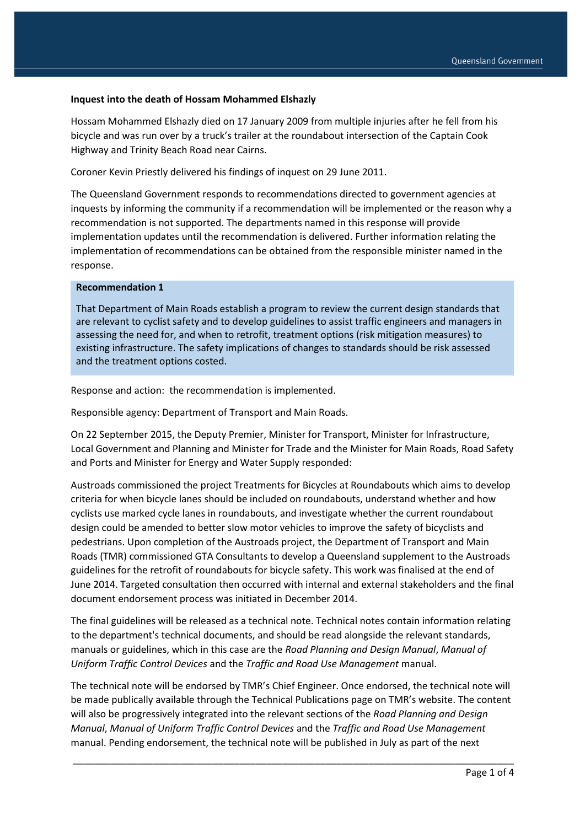#### **Inquest into the death of Hossam Mohammed Elshazly**

Hossam Mohammed Elshazly died on 17 January 2009 from multiple injuries after he fell from his bicycle and was run over by a truck's trailer at the roundabout intersection of the Captain Cook Highway and Trinity Beach Road near Cairns.

Coroner Kevin Priestly delivered his findings of inquest on 29 June 2011.

The Queensland Government responds to recommendations directed to government agencies at inquests by informing the community if a recommendation will be implemented or the reason why a recommendation is not supported. The departments named in this response will provide implementation updates until the recommendation is delivered. Further information relating the implementation of recommendations can be obtained from the responsible minister named in the response.

#### **Recommendation 1**

That Department of Main Roads establish a program to review the current design standards that are relevant to cyclist safety and to develop guidelines to assist traffic engineers and managers in assessing the need for, and when to retrofit, treatment options (risk mitigation measures) to existing infrastructure. The safety implications of changes to standards should be risk assessed and the treatment options costed.

Response and action: the recommendation is implemented.

Responsible agency: Department of Transport and Main Roads.

On 22 September 2015, the Deputy Premier, Minister for Transport, Minister for Infrastructure, Local Government and Planning and Minister for Trade and the Minister for Main Roads, Road Safety and Ports and Minister for Energy and Water Supply responded:

Austroads commissioned the project Treatments for Bicycles at Roundabouts which aims to develop criteria for when bicycle lanes should be included on roundabouts, understand whether and how cyclists use marked cycle lanes in roundabouts, and investigate whether the current roundabout design could be amended to better slow motor vehicles to improve the safety of bicyclists and pedestrians. Upon completion of the Austroads project, the Department of Transport and Main Roads (TMR) commissioned GTA Consultants to develop a Queensland supplement to the Austroads guidelines for the retrofit of roundabouts for bicycle safety. This work was finalised at the end of June 2014. Targeted consultation then occurred with internal and external stakeholders and the final document endorsement process was initiated in December 2014.

The final guidelines will be released as a technical note. Technical notes contain information relating to the department's technical documents, and should be read alongside the relevant standards, manuals or guidelines, which in this case are the *Road Planning and Design Manual*, *Manual of Uniform Traffic Control Devices* and the *Traffic and Road Use Management* manual.

The technical note will be endorsed by TMR's Chief Engineer. Once endorsed, the technical note will be made publically available through the Technical Publications page on TMR's website. The content will also be progressively integrated into the relevant sections of the *Road Planning and Design Manual*, *Manual of Uniform Traffic Control Devices* and the *Traffic and Road Use Management* manual. Pending endorsement, the technical note will be published in July as part of the next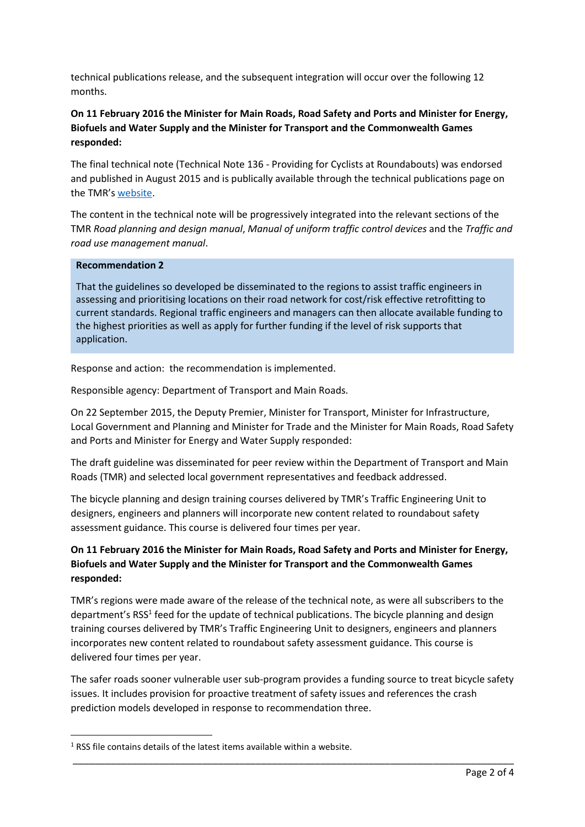technical publications release, and the subsequent integration will occur over the following 12 months.

### **On 11 February 2016 the Minister for Main Roads, Road Safety and Ports and Minister for Energy, Biofuels and Water Supply and the Minister for Transport and the Commonwealth Games responded:**

The final technical note (Technical Note 136 - Providing for Cyclists at Roundabouts) was endorsed and published in August 2015 and is publically available through the technical publications page on the TMR's [website.](http://www.tmr.qld.gov.au/~/media/busind/techstdpubs/Technical%20notes/Traffic%20engineering/TN136.pdf)

The content in the technical note will be progressively integrated into the relevant sections of the TMR *Road planning and design manual*, *Manual of uniform traffic control devices* and the *Traffic and road use management manual*.

### **Recommendation 2**

**.** 

That the guidelines so developed be disseminated to the regions to assist traffic engineers in assessing and prioritising locations on their road network for cost/risk effective retrofitting to current standards. Regional traffic engineers and managers can then allocate available funding to the highest priorities as well as apply for further funding if the level of risk supports that application.

Response and action: the recommendation is implemented.

Responsible agency: Department of Transport and Main Roads.

On 22 September 2015, the Deputy Premier, Minister for Transport, Minister for Infrastructure, Local Government and Planning and Minister for Trade and the Minister for Main Roads, Road Safety and Ports and Minister for Energy and Water Supply responded:

The draft guideline was disseminated for peer review within the Department of Transport and Main Roads (TMR) and selected local government representatives and feedback addressed.

The bicycle planning and design training courses delivered by TMR's Traffic Engineering Unit to designers, engineers and planners will incorporate new content related to roundabout safety assessment guidance. This course is delivered four times per year.

# **On 11 February 2016 the Minister for Main Roads, Road Safety and Ports and Minister for Energy, Biofuels and Water Supply and the Minister for Transport and the Commonwealth Games responded:**

TMR's regions were made aware of the release of the technical note, as were all subscribers to the department's RSS<sup>1</sup> feed for the update of technical publications. The bicycle planning and design training courses delivered by TMR's Traffic Engineering Unit to designers, engineers and planners incorporates new content related to roundabout safety assessment guidance. This course is delivered four times per year.

The safer roads sooner vulnerable user sub-program provides a funding source to treat bicycle safety issues. It includes provision for proactive treatment of safety issues and references the crash prediction models developed in response to recommendation three.

 $1$  RSS file contains details of the latest items available within a website.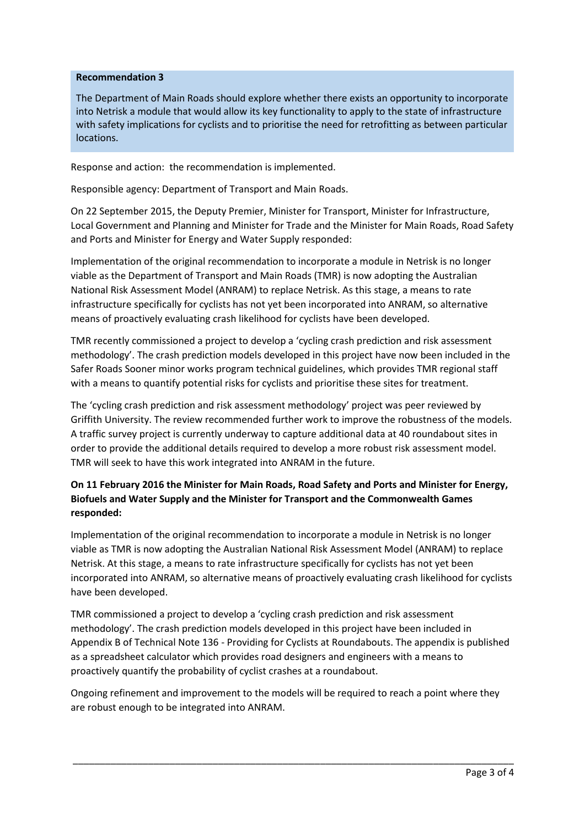### **Recommendation 3**

The Department of Main Roads should explore whether there exists an opportunity to incorporate into Netrisk a module that would allow its key functionality to apply to the state of infrastructure with safety implications for cyclists and to prioritise the need for retrofitting as between particular locations.

Response and action: the recommendation is implemented.

Responsible agency: Department of Transport and Main Roads.

On 22 September 2015, the Deputy Premier, Minister for Transport, Minister for Infrastructure, Local Government and Planning and Minister for Trade and the Minister for Main Roads, Road Safety and Ports and Minister for Energy and Water Supply responded:

Implementation of the original recommendation to incorporate a module in Netrisk is no longer viable as the Department of Transport and Main Roads (TMR) is now adopting the Australian National Risk Assessment Model (ANRAM) to replace Netrisk. As this stage, a means to rate infrastructure specifically for cyclists has not yet been incorporated into ANRAM, so alternative means of proactively evaluating crash likelihood for cyclists have been developed.

TMR recently commissioned a project to develop a 'cycling crash prediction and risk assessment methodology'. The crash prediction models developed in this project have now been included in the Safer Roads Sooner minor works program technical guidelines, which provides TMR regional staff with a means to quantify potential risks for cyclists and prioritise these sites for treatment.

The 'cycling crash prediction and risk assessment methodology' project was peer reviewed by Griffith University. The review recommended further work to improve the robustness of the models. A traffic survey project is currently underway to capture additional data at 40 roundabout sites in order to provide the additional details required to develop a more robust risk assessment model. TMR will seek to have this work integrated into ANRAM in the future.

# **On 11 February 2016 the Minister for Main Roads, Road Safety and Ports and Minister for Energy, Biofuels and Water Supply and the Minister for Transport and the Commonwealth Games responded:**

Implementation of the original recommendation to incorporate a module in Netrisk is no longer viable as TMR is now adopting the Australian National Risk Assessment Model (ANRAM) to replace Netrisk. At this stage, a means to rate infrastructure specifically for cyclists has not yet been incorporated into ANRAM, so alternative means of proactively evaluating crash likelihood for cyclists have been developed.

TMR commissioned a project to develop a 'cycling crash prediction and risk assessment methodology'. The crash prediction models developed in this project have been included in Appendix B of Technical Note 136 - Providing for Cyclists at Roundabouts. The appendix is published as a spreadsheet calculator which provides road designers and engineers with a means to proactively quantify the probability of cyclist crashes at a roundabout.

Ongoing refinement and improvement to the models will be required to reach a point where they are robust enough to be integrated into ANRAM.